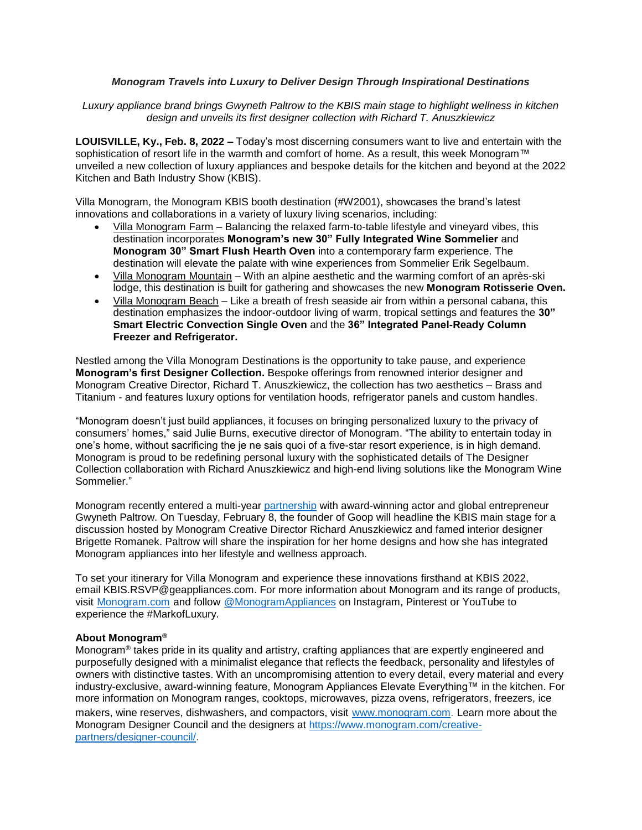## *Monogram Travels into Luxury to Deliver Design Through Inspirational Destinations*

*Luxury appliance brand brings Gwyneth Paltrow to the KBIS main stage to highlight wellness in kitchen design and unveils its first designer collection with Richard T. Anuszkiewicz*

**LOUISVILLE, Ky., Feb. 8, 2022 –** Today's most discerning consumers want to live and entertain with the sophistication of resort life in the warmth and comfort of home. As a result, this week Monogram™ unveiled a new collection of luxury appliances and bespoke details for the kitchen and beyond at the 2022 Kitchen and Bath Industry Show (KBIS).

Villa Monogram, the Monogram KBIS booth destination (#W2001), showcases the brand's latest innovations and collaborations in a variety of luxury living scenarios, including:

- Villa Monogram Farm Balancing the relaxed farm-to-table lifestyle and vineyard vibes, this destination incorporates **Monogram's new 30" Fully Integrated Wine Sommelier** and **Monogram 30" Smart Flush Hearth Oven** into a contemporary farm experience. The destination will elevate the palate with wine experiences from Sommelier Erik Segelbaum.
- Villa Monogram Mountain With an alpine aesthetic and the warming comfort of an après-ski lodge, this destination is built for gathering and showcases the new **Monogram Rotisserie Oven.**
- Villa Monogram Beach Like a breath of fresh seaside air from within a personal cabana, this destination emphasizes the indoor-outdoor living of warm, tropical settings and features the **30" Smart Electric Convection Single Oven** and the **36" Integrated Panel-Ready Column Freezer and Refrigerator.**

Nestled among the Villa Monogram Destinations is the opportunity to take pause, and experience **Monogram's first Designer Collection.** Bespoke offerings from renowned interior designer and Monogram Creative Director, Richard T. Anuszkiewicz, the collection has two aesthetics – Brass and Titanium - and features luxury options for ventilation hoods, refrigerator panels and custom handles.

"Monogram doesn't just build appliances, it focuses on bringing personalized luxury to the privacy of consumers' homes," said Julie Burns, executive director of Monogram. "The ability to entertain today in one's home, without sacrificing the je ne sais quoi of a five-star resort experience, is in high demand. Monogram is proud to be redefining personal luxury with the sophisticated details of The Designer Collection collaboration with Richard Anuszkiewicz and high-end living solutions like the Monogram Wine Sommelier."

Monogram recently entered a multi-year [partnership](https://pressroom.geappliances.com/news/monogram-luxury-appliances-enters-multi-year-partnership-with-gwyneth-paltrow) with award-winning actor and global entrepreneur Gwyneth Paltrow. On Tuesday, February 8, the founder of Goop will headline the KBIS main stage for a discussion hosted by Monogram Creative Director Richard Anuszkiewicz and famed interior designer Brigette Romanek. Paltrow will share the inspiration for her home designs and how she has integrated Monogram appliances into her lifestyle and wellness approach.

To set your itinerary for Villa Monogram and experience these innovations firsthand at KBIS 2022, email KBIS.RSVP@geappliances.com. For more information about Monogram and its range of products, visit [Monogram.com](https://www.monogram.com/) and follow [@MonogramAppliances](https://www.instagram.com/monogramappliances/) on Instagram, Pinterest or YouTube to experience the #MarkofLuxury.

## **About Monogram®**

Monogram® takes pride in its quality and artistry, crafting appliances that are expertly engineered and purposefully designed with a minimalist elegance that reflects the feedback, personality and lifestyles of owners with distinctive tastes. With an uncompromising attention to every detail, every material and every industry-exclusive, award-winning feature, Monogram Appliances Elevate Everything™ in the kitchen. For more information on Monogram ranges, cooktops, microwaves, pizza ovens, refrigerators, freezers, ice makers, wine reserves, dishwashers, and compactors, visit www.monogram.com. Learn more about the Monogram Designer Council and the designers at [https://www.monogram.com/creative](https://www.monogram.com/creative-partners/designer-council/)[partners/designer-council/.](https://www.monogram.com/creative-partners/designer-council/)